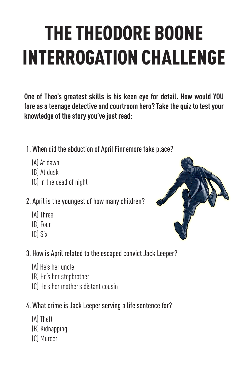# THE THEODORE BOONE INTERROGATION CHALLENGE

**One of Theo's greatest skills is his keen eye for detail. How would YOU fare as a teenage detective and courtroom hero? Take the quiz to test your knowledge of the story you've just read:**

- 1. When did the abduction of April Finnemore take place?
	- (A) At dawn
	- (B) At dusk
	- (C) In the dead of night

#### 2. April is the youngest of how many children?

- (A) Three
- (B) Four
- (C) Six
- 3. How is April related to the escaped convict Jack Leeper?
	- (A) He's her uncle
	- (B) He's her stepbrother
	- (C) He's her mother's distant cousin

#### 4. What crime is Jack Leeper serving a life sentence for?

- (A) Theft
- (B) Kidnapping
- (C) Murder

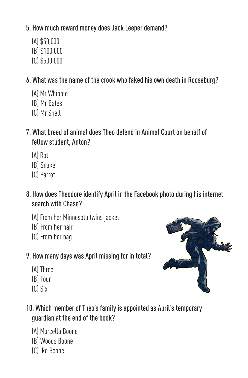#### 5. How much reward money does Jack Leeper demand?

- (A) \$50,000
- (B) \$100,000
- (C) \$500,000

6. What was the name of the crook who faked his own death in Rooseburg?

- (A) Mr Whipple
- (B) Mr Bates
- (C) Mr Shell
- 7. What breed of animal does Theo defend in Animal Court on behalf of fellow student, Anton?
	- (A) Rat
	- (B) Snake
	- (C) Parrot
- 8. How does Theodore identify April in the Facebook photo during his internet search with Chase?
	- (A) From her Minnesota twins jacket
	- (B) From her hair
	- (C) From her bag
- 9. How many days was April missing for in total?
	- (A) Three
	- (B) Four
	- (C) Six



- (A) Marcella Boone
- (B) Woods Boone
- (C) Ike Boone